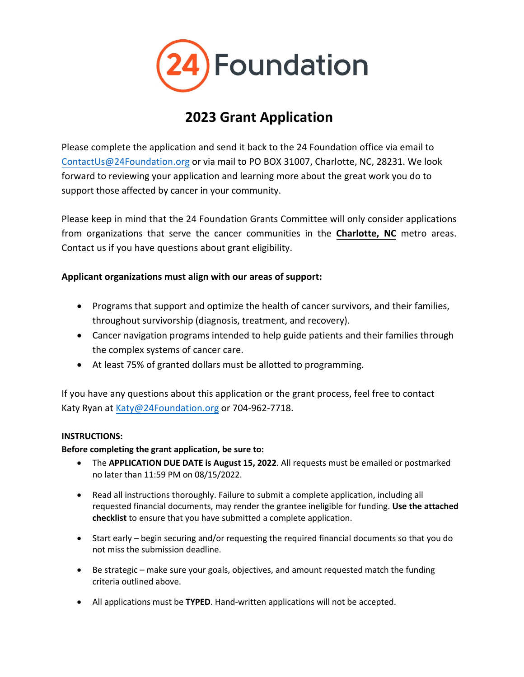

# **2023 Grant Application**

Please complete the application and send it back to the 24 Foundation office via email to [ContactUs@24Foundation.org](mailto:ContactUs@24Foundation.org) or via mail to PO BOX 31007, Charlotte, NC, 28231. We look forward to reviewing your application and learning more about the great work you do to support those affected by cancer in your community.

Please keep in mind that the 24 Foundation Grants Committee will only consider applications from organizations that serve the cancer communities in the **Charlotte, NC** metro areas. Contact us if you have questions about grant eligibility.

#### **Applicant organizations must align with our areas of support:**

- Programs that support and optimize the health of cancer survivors, and their families, throughout survivorship (diagnosis, treatment, and recovery).
- Cancer navigation programs intended to help guide patients and their families through the complex systems of cancer care.
- At least 75% of granted dollars must be allotted to programming.

If you have any questions about this application or the grant process, feel free to contact Katy Ryan at [Katy@24Foundation.org](mailto:Katy@24Foundation.org) or 704-962-7718.

#### **INSTRUCTIONS:**

#### **Before completing the grant application, be sure to:**

- The **APPLICATION DUE DATE is August 15, 2022**. All requests must be emailed or postmarked no later than 11:59 PM on 08/15/2022.
- Read all instructions thoroughly. Failure to submit a complete application, including all requested financial documents, may render the grantee ineligible for funding. **Use the attached checklist** to ensure that you have submitted a complete application.
- Start early begin securing and/or requesting the required financial documents so that you do not miss the submission deadline.
- Be strategic make sure your goals, objectives, and amount requested match the funding criteria outlined above.
- All applications must be **TYPED**. Hand-written applications will not be accepted.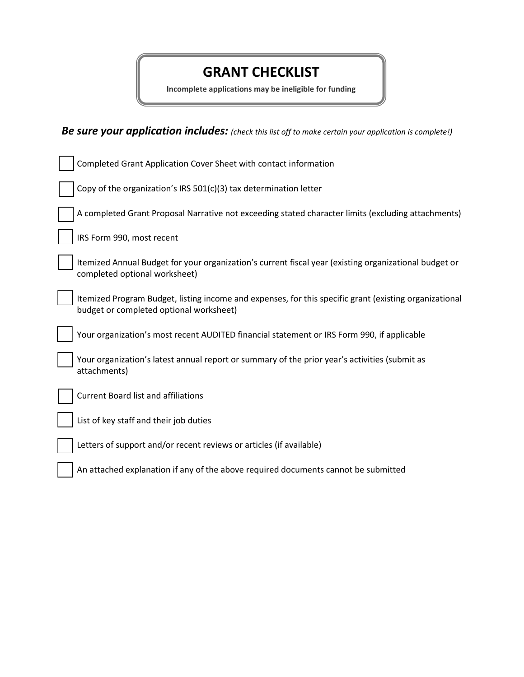## **GRANT CHECKLIST**

**Incomplete applications may be ineligible for funding**

*Be sure your application includes: (check this list off to make certain your application is complete!)*

| Completed Grant Application Cover Sheet with contact information                                                                                  |
|---------------------------------------------------------------------------------------------------------------------------------------------------|
| Copy of the organization's IRS 501(c)(3) tax determination letter                                                                                 |
| A completed Grant Proposal Narrative not exceeding stated character limits (excluding attachments)                                                |
| IRS Form 990, most recent                                                                                                                         |
| Itemized Annual Budget for your organization's current fiscal year (existing organizational budget or<br>completed optional worksheet)            |
| Itemized Program Budget, listing income and expenses, for this specific grant (existing organizational<br>budget or completed optional worksheet) |
| Your organization's most recent AUDITED financial statement or IRS Form 990, if applicable                                                        |
| Your organization's latest annual report or summary of the prior year's activities (submit as<br>attachments)                                     |
| <b>Current Board list and affiliations</b>                                                                                                        |
| List of key staff and their job duties                                                                                                            |
| Letters of support and/or recent reviews or articles (if available)                                                                               |
| An attached explanation if any of the above required documents cannot be submitted                                                                |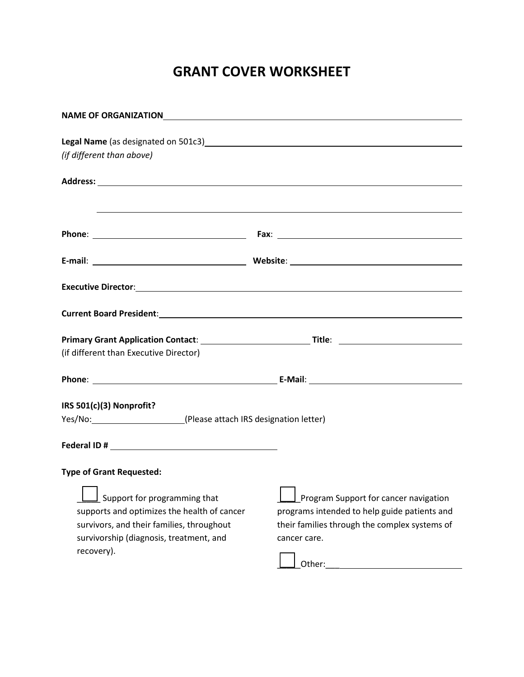# **GRANT COVER WORKSHEET**

| Legal Name (as designated on 501c3)<br><u>Legal Name</u> (as designated on 501c3)                                    |  |  |  |
|----------------------------------------------------------------------------------------------------------------------|--|--|--|
|                                                                                                                      |  |  |  |
|                                                                                                                      |  |  |  |
| <u> 1989 - Andrea Santa Andrea Santa Andrea Santa Andrea Santa Andrea Santa Andrea Santa Andrea Santa Andrea San</u> |  |  |  |
|                                                                                                                      |  |  |  |
|                                                                                                                      |  |  |  |
|                                                                                                                      |  |  |  |
| Current Board President: 1988 and 2008 and 2008 and 2008 and 2008 and 2008 and 2008 and 2008 and 2008 and 2008       |  |  |  |
|                                                                                                                      |  |  |  |
|                                                                                                                      |  |  |  |
|                                                                                                                      |  |  |  |
|                                                                                                                      |  |  |  |
|                                                                                                                      |  |  |  |
| Yes/No: \[912] Please attach IRS designation letter)                                                                 |  |  |  |
|                                                                                                                      |  |  |  |
|                                                                                                                      |  |  |  |
|                                                                                                                      |  |  |  |
|                                                                                                                      |  |  |  |
| Program Support for cancer navigation                                                                                |  |  |  |
| programs intended to help guide patients and                                                                         |  |  |  |
| their families through the complex systems of                                                                        |  |  |  |
| cancer care.                                                                                                         |  |  |  |
| Other:                                                                                                               |  |  |  |
|                                                                                                                      |  |  |  |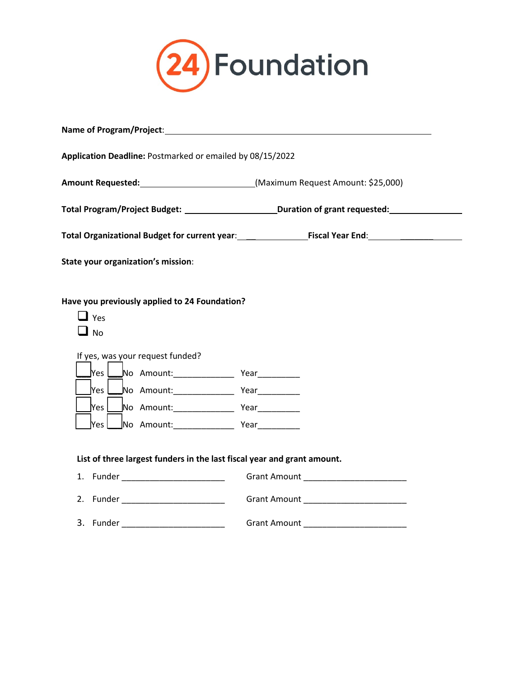

| Name of Program/Project: Name of Program/Project:                                                                   |                                                                                                      |  |  |  |
|---------------------------------------------------------------------------------------------------------------------|------------------------------------------------------------------------------------------------------|--|--|--|
| Application Deadline: Postmarked or emailed by 08/15/2022                                                           |                                                                                                      |  |  |  |
|                                                                                                                     |                                                                                                      |  |  |  |
|                                                                                                                     | Total Program/Project Budget: __________________________Duration of grant requested: _______________ |  |  |  |
|                                                                                                                     | Total Organizational Budget for current year: Fiscal Year End: Fiscal Year End:                      |  |  |  |
| State your organization's mission:                                                                                  |                                                                                                      |  |  |  |
| Have you previously applied to 24 Foundation?<br>$\Box$ Yes<br>$\Box$ No<br>If yes, was your request funded?<br>Yes |                                                                                                      |  |  |  |
| List of three largest funders in the last fiscal year and grant amount.                                             |                                                                                                      |  |  |  |
| 1. Funder _________________________                                                                                 |                                                                                                      |  |  |  |
| 2. Funder ___________________________                                                                               |                                                                                                      |  |  |  |
| 3.<br>Funder ___________________________                                                                            |                                                                                                      |  |  |  |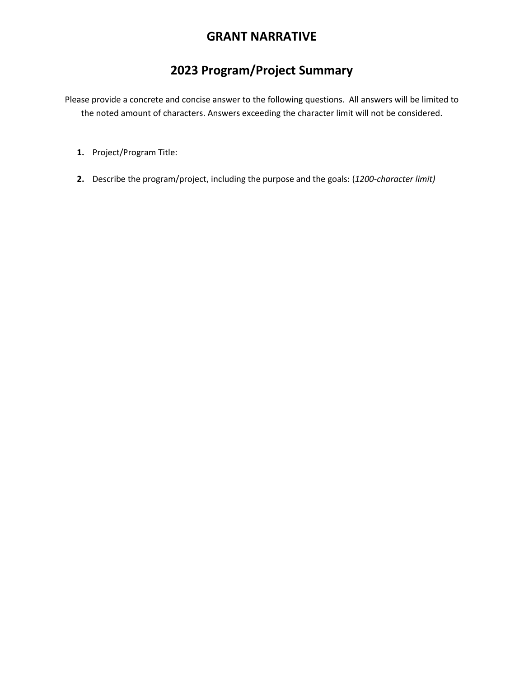### **GRANT NARRATIVE**

## **2023 Program/Project Summary**

Please provide a concrete and concise answer to the following questions. All answers will be limited to the noted amount of characters. Answers exceeding the character limit will not be considered.

- **1.** Project/Program Title:
- **2.** Describe the program/project, including the purpose and the goals: (*1200-character limit)*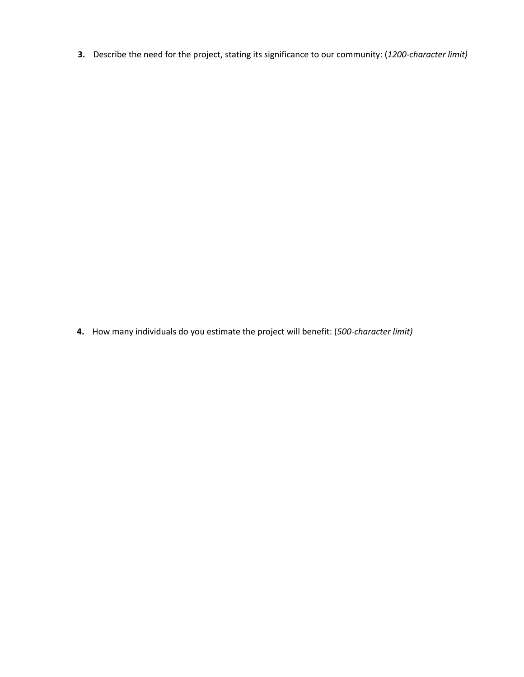**3.** Describe the need for the project, stating its significance to our community: (*1200-character limit)*

**4.** How many individuals do you estimate the project will benefit: (*500-character limit)*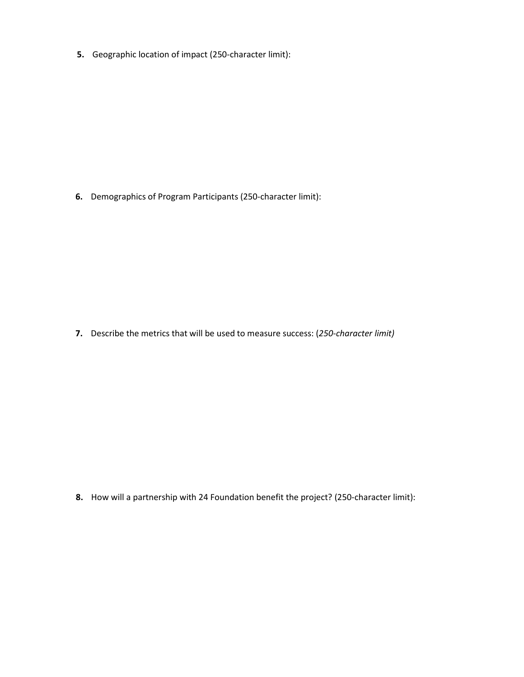**5.** Geographic location of impact (250-character limit):

**6.** Demographics of Program Participants (250-character limit):

**7.** Describe the metrics that will be used to measure success: (*250-character limit)*

**8.** How will a partnership with 24 Foundation benefit the project? (250-character limit):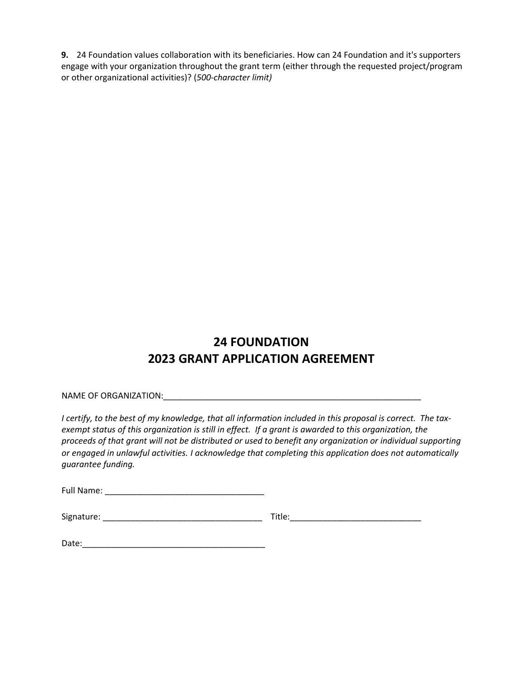**9.** 24 Foundation values collaboration with its beneficiaries. How can 24 Foundation and it's supporters engage with your organization throughout the grant term (either through the requested project/program or other organizational activities)? (*500-character limit)*

## **24 FOUNDATION 2023 GRANT APPLICATION AGREEMENT**

NAME OF ORGANIZATION: UNITAL AND A SERIES OF ORGANIZATION:

*I certify, to the best of my knowledge, that all information included in this proposal is correct. The taxexempt status of this organization is still in effect. If a grant is awarded to this organization, the proceeds of that grant will not be distributed or used to benefit any organization or individual supporting or engaged in unlawful activities. I acknowledge that completing this application does not automatically guarantee funding.* 

Full Name: \_\_\_\_\_\_\_\_\_\_\_\_\_\_\_\_\_\_\_\_\_\_\_\_\_\_\_\_\_\_\_\_\_\_

| Signature: | itie |
|------------|------|
|------------|------|

| Date: |  |  |  |  |
|-------|--|--|--|--|
|       |  |  |  |  |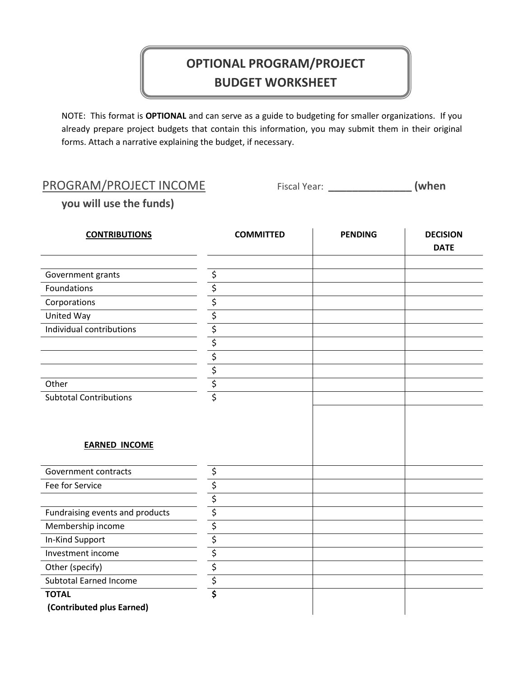# **OPTIONAL PROGRAM/PROJECT BUDGET WORKSHEET**

NOTE: This format is **OPTIONAL** and can serve as a guide to budgeting for smaller organizations. If you already prepare project budgets that contain this information, you may submit them in their original forms. Attach a narrative explaining the budget, if necessary.

### PROGRAM/PROJECT INCOME Fiscal Year: \_\_\_\_\_\_\_\_\_\_\_\_\_\_\_\_\_ (when

**you will use the funds)**

| <b>CONTRIBUTIONS</b>            | <b>COMMITTED</b>                | <b>PENDING</b> | <b>DECISION</b><br><b>DATE</b> |
|---------------------------------|---------------------------------|----------------|--------------------------------|
|                                 |                                 |                |                                |
| Government grants               | \$                              |                |                                |
| Foundations                     | \$                              |                |                                |
| Corporations                    | \$                              |                |                                |
| United Way                      | \$                              |                |                                |
| Individual contributions        | \$                              |                |                                |
|                                 | \$                              |                |                                |
|                                 | \$                              |                |                                |
|                                 | $\overline{\xi}$                |                |                                |
| Other                           | \$                              |                |                                |
| <b>Subtotal Contributions</b>   | $\overline{\boldsymbol{\zeta}}$ |                |                                |
| <b>EARNED INCOME</b>            |                                 |                |                                |
| Government contracts            | \$                              |                |                                |
| Fee for Service                 | \$                              |                |                                |
|                                 | \$                              |                |                                |
| Fundraising events and products | \$                              |                |                                |
| Membership income               | $\overline{\boldsymbol{\zeta}}$ |                |                                |
| In-Kind Support                 | \$                              |                |                                |
| Investment income               | \$                              |                |                                |
| Other (specify)                 | $\overline{\xi}$                |                |                                |
| <b>Subtotal Earned Income</b>   | $\overline{\xi}$                |                |                                |
| <b>TOTAL</b>                    | \$                              |                |                                |
| (Contributed plus Earned)       |                                 |                |                                |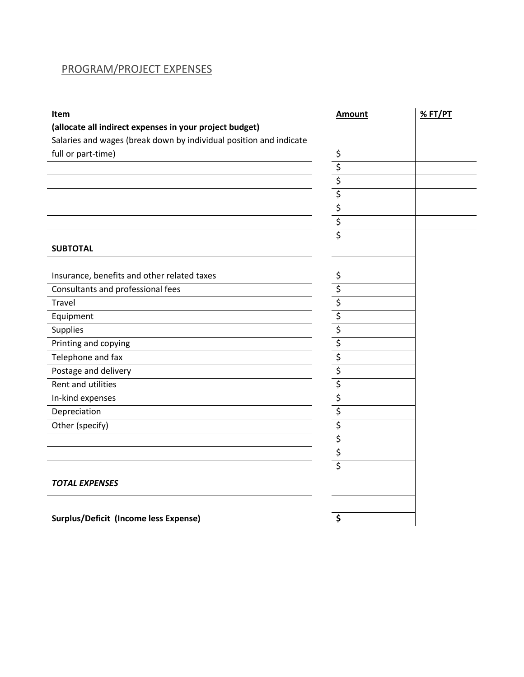#### PROGRAM/PROJECT EXPENSES

| <b>Item</b>                                                        | <b>Amount</b>           | %FT/PT |
|--------------------------------------------------------------------|-------------------------|--------|
| (allocate all indirect expenses in your project budget)            |                         |        |
| Salaries and wages (break down by individual position and indicate |                         |        |
| full or part-time)                                                 | \$                      |        |
|                                                                    | \$                      |        |
|                                                                    | $\overline{\xi}$        |        |
|                                                                    | \$                      |        |
|                                                                    | $rac{5}{5}$             |        |
|                                                                    |                         |        |
|                                                                    | $\overline{\mathsf{s}}$ |        |
| <b>SUBTOTAL</b>                                                    |                         |        |
|                                                                    |                         |        |
| Insurance, benefits and other related taxes                        | \$                      |        |
| Consultants and professional fees                                  | \$                      |        |
| Travel                                                             | \$                      |        |
| Equipment                                                          | \$                      |        |
| Supplies                                                           | \$                      |        |
| Printing and copying                                               | \$                      |        |
| Telephone and fax                                                  | $\overline{\xi}$        |        |
| Postage and delivery                                               | \$                      |        |
| Rent and utilities                                                 | \$                      |        |
| In-kind expenses                                                   | \$                      |        |
| Depreciation                                                       | $\overline{\xi}$        |        |
| Other (specify)                                                    | $\overline{\xi}$        |        |
|                                                                    | \$                      |        |
|                                                                    | \$                      |        |
|                                                                    | \$                      |        |
| <b>TOTAL EXPENSES</b>                                              |                         |        |
|                                                                    |                         |        |
| <b>Surplus/Deficit (Income less Expense)</b>                       | S                       |        |
|                                                                    |                         |        |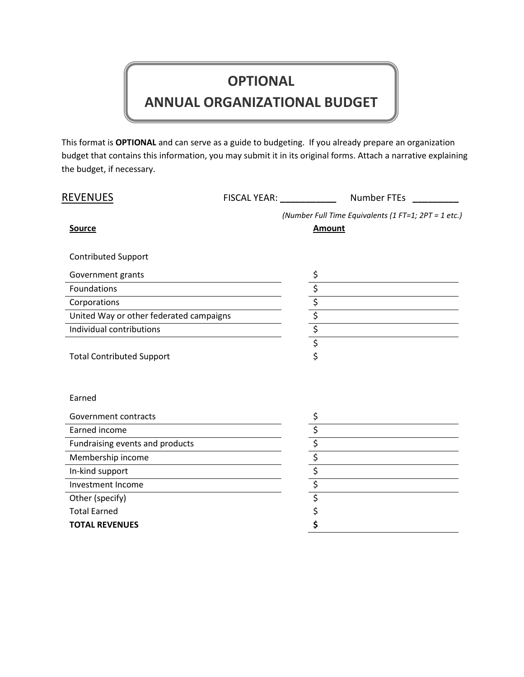# **OPTIONAL**

# **ANNUAL ORGANIZATIONAL BUDGET**

This format is **OPTIONAL** and can serve as a guide to budgeting. If you already prepare an organization budget that contains this information, you may submit it in its original forms. Attach a narrative explaining the budget, if necessary.

| <b>REVENUES</b>                         | FISCAL YEAR: University Property | <b>Number FTEs</b>                                                    |
|-----------------------------------------|----------------------------------|-----------------------------------------------------------------------|
| <b>Source</b>                           |                                  | (Number Full Time Equivalents (1 FT=1; 2PT = 1 etc.)<br><b>Amount</b> |
| <b>Contributed Support</b>              |                                  |                                                                       |
| Government grants                       |                                  | \$                                                                    |
| Foundations                             |                                  |                                                                       |
| Corporations                            |                                  |                                                                       |
| United Way or other federated campaigns |                                  |                                                                       |
| Individual contributions                |                                  | $\frac{1}{\sqrt{2}}$<br>$\frac{1}{\sqrt{2}}$<br>$\frac{1}{\sqrt{2}}$  |
|                                         |                                  |                                                                       |
| <b>Total Contributed Support</b>        |                                  | \$                                                                    |
| Earned                                  |                                  |                                                                       |
| Government contracts                    |                                  |                                                                       |
| Earned income                           |                                  |                                                                       |
| Fundraising events and products         |                                  | $\frac{1}{\sqrt{2}}$<br>$\frac{1}{\sqrt{2}}$                          |
| Membership income                       |                                  |                                                                       |
| In-kind support                         |                                  |                                                                       |
| Investment Income                       |                                  |                                                                       |
| Other (specify)                         |                                  | $\overline{\xi}$                                                      |
| <b>Total Earned</b>                     |                                  | \$                                                                    |
| <b>TOTAL REVENUES</b>                   |                                  | \$                                                                    |